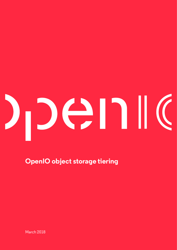# DENK

**OpenIO object storage tiering**

March 2018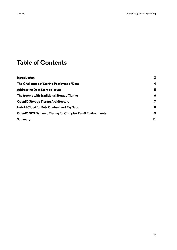#### **Table of Contents**

| Introduction                                                     | $\overline{3}$ |
|------------------------------------------------------------------|----------------|
| The Challenges of Storing Petabytes of Data                      | 4              |
| <b>Addressing Data Storage Issues</b>                            | 5              |
| The trouble with Traditional Storage Tiering                     | 6              |
| <b>OpenIO Storage Tiering Architecture</b>                       | 7              |
| <b>Hybrid Cloud for Bulk Content and Big Data</b>                | 8              |
| <b>OpenIO SDS Dynamic Tiering for Complex Email Environments</b> | 9              |
| Summary                                                          | 11             |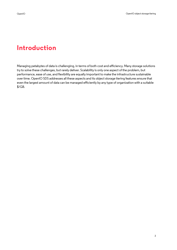#### <span id="page-2-0"></span>**Introduction**

Managing petabytes of data is challenging, in terms of both cost and efficiency. Many storage solutions try to solve these challenges, but rarely deliver. Scalability is only one aspect of the problem, but performance, ease of use, and flexibility are equally important to make the infrastructure sustainable over time. OpenIO SDS addresses all these aspects and its object storage tiering features ensure that even the largest amount of data can be managed efficiently by any type of organization with a suitable \$/GB.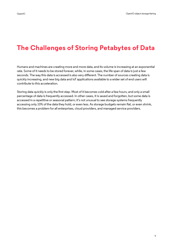# <span id="page-3-0"></span>**The Challenges of Storing Petabytes of Data**

Humans and machines are creating more and more data, and its volume is increasing at an exponential rate. Some of it needs to be stored forever, while, in some cases, the life span of data is just a few seconds. The way this data is accessed is also very different. The number of sources creating data is quickly increasing, and new big data and IoT applications available to a wider set of end users will contribute to this acceleration.

Storing data quickly is only the first step. Most of it becomes cold after a few hours, and only a small percentage of data is frequently accessed. In other cases, it is saved and forgotten, but some data is accessed in a repetitive or seasonal pattern; it's not unusual to see storage systems frequently accessing only 10% of the data they hold, or even less. As storage budgets remain flat, or even shrink, this becomes a problem for all enterprises, cloud providers, and managed service providers.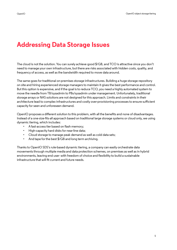#### <span id="page-4-0"></span>**Addressing Data Storage Issues**

The cloud is not the solution. You can surely achieve good \$/GB, and TCO is attractive since you don't need to manage your own infrastructure, but there are risks associated with hidden costs, quality, and frequency of access, as well as the bandwidth required to move data around.

The same goes for traditional on-premises storage infrastructures. Building a huge storage repository on site and hiring experienced storage managers to maintain it gives the best performance and control. But this option is expensive, and if the goal is to reduce TCO, you need a highly automated system to move the needle from TB/sysadmin to PBs/sysadmin under management. Unfortunately, traditional storage arrays or NAS solutions are not designed for this approach. Limits and constraints in their architecture lead to complex infrastructures and costly over-provisioning processes to ensure sufficient capacity for seen and unforeseen demand.

OpenIO proposes a different solution to this problem, with all the benefts and none of disadvantages. Instead of a one-size-fts-all approach based on traditional large storage systems or cloud only, we using dynamic tiering, which includes:

- A fast-access tier based on flash memory;
- High-capacity hard disks for near-line data;
- Cloud storage to manage peak demand as well as cold data sets;
- And tape for the best \$/GB and long term archiving.

Thanks to OpenIO SDS's rule-based dynamic tiering, a company can easily orchestrate data movements through multiple media and data protection schemes, on premises as well as in hybrid environments, leaving end user- with freedom of choice and flexibility to build a sustainable infrastructure that will fit current and future needs.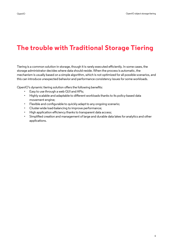# <span id="page-5-0"></span>**The trouble with Traditional Storage Tiering**

Tiering is a common solution in storage, though it is rarely executed efficiently. In some cases, the storage administrator decides where data should reside. When the process is automatic, the mechanism is usually based on a simple algorithm, which is not optimized for all possible scenarios, and this can introduce unexpected behavior and performance consistency issues for some workloads.

OpenIO's dynamic tiering solution offers the following benefits:

- Easy to use through a web GUI and APIs;
- Highly scalable and adaptable to different workloads thanks to its policy-based data movement engine;
- Flexible and configurable to quickly adapt to any ongoing scenario;
- Cluster-wide load-balancing to improve performance;
- High application efficiency thanks to transparent data access;
- Simplifed creation and management of large and durable data lakes for analytics and other applications.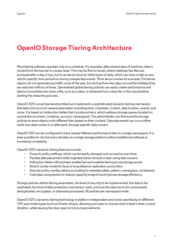#### <span id="page-6-0"></span>**OpenIO Storage Tiering Architecture**

Most tiering software operates only on a schedule. For example, after several days of inactivity, data is moved from the top tier to a lower level. This may be fne for email, where relatively few fles are accessed after a day or two, but it can be an issue for other types of data, which can have a high access rate for specifc time periods or during unexpected events. Think about movies for example; Christmas classics do not generate any traffic most of the year, but during those few days around the holidays they are watched millions of times. Generalized global tiering policies can easily create performance and latency inconsistencies when a fle, such as a video, is retrieved from a slow tier or the cloud before starting the streaming process.

OpenIO SDS's smart backend architecture implements a sophisticated dynamic tiering mechanism that takes into account several parameters including time, metadata, content, data location, events, and more. It is based on indirection tables that include pointers, which address storage spaces located on several tiers (content, container, account, namespace). The administrator can fne-tune the storage policies to send objects onto different tiers based on their content. Data placement can occur either while new data comes in or afterward, through specific data movers.

OpenIO SDS can be confgured to have several different performance tiers in a single namespace. It is even possible to mix hot and cold data on a single storage platform without additional software or increasing complexity.

OpenIO SDS's dynamic tiering features include:

- Dynamic policy settings, which can be easily changed and can evolve over time;
- Flexible data placement while ingested (when stored) or later using data movers;
- Indirection tables with pointers enable fast and scalable tiering across storage pools;
- Stretch cluster mode for local or long-distance replication across tiers;
- Granular policy confgurations according to metadata (date, pattern, namespace, containers);
- Cold data compression to reduce capacity footprint and improve storage efficiency.

Storage policies defne tiering parameters, the level of security to be implemented, the data to be replicated, the kind of data protection mechanism used, and how the data has to be compressed, deduplicated, encrypted, or otherwise processed. All policies are namespace-wide.

OpenIO SDS's dynamic tiering technology is platform-independent and works seamlessly on different CPU and media types (such as Kinetic drives), allowing end users to choose what is best in their current situation, while leaving the door open to future improvements.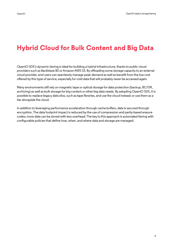# <span id="page-7-0"></span>**Hybrid Cloud for Bulk Content and Big Data**

OpenIO SDS's dynamic tiering is ideal for building a hybrid infrastructure, thanks to public cloud providers such as Backblaze B2 or Amazon AWS S3. By offloading some storage capacity to an external cloud provider, end users can seamlessly manage peak demand as well as beneft from the low cost offered by this type of service, especially for cold data that will probably never be accessed again.

Many environments still rely on magnetic tape or optical storage for data protection (backup, BC/DR, archiving) as well as bulk storage for big content or other big data needs. By adopting OpenIO SDS, it is possible to replace legacy data silos, such as tape libraries, and use the cloud instead; or use them as a tier alongside the cloud.

In addition to leveraging performance acceleration through cache buffers, data is secured through encryption. The data footprint impact is reduced by the use of compression and parity-based erasure codes; more data can be stored with less overhead. The key to this approach is automated tiering with confgurable policies that defne how, when, and where data and storage are managed.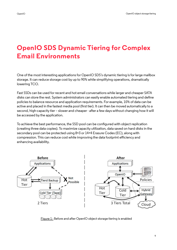# <span id="page-8-0"></span>**OpenIO SDS Dynamic Tiering for Complex Email Environments**

One of the most interesting applications for OpenIO SDS's dynamic tiering is for large mailbox storage. It can reduce storage cost by up to 90% while simplifying operations, dramatically lowering TCO.

Fast SSDs can be used for recent and hot email conversations while larger and cheaper SATA disks can store the rest. System administrators can easily enable automated tiering and define policies to balance resource and application requirements. For example, 10% of data can be active and placed in the fastest media pool (frst tier). It can then be moved automatically to a second, high-capacity tier – slower and cheaper - after a few days without changing how it will be accessed by the application.

To achieve the best performance, the SSD pool can be confgured with object replication (creating three data copies). To maximize capacity utilization, data saved on hard disks in the secondary pool can be protected using 8+3 or 14+4 Erasure Codes (EC), along with compression. This can reduce cost while improving the data footprint efficiency and enhancing availability.



Figure 1 : Before and after OpenIO object storage tiering is enabled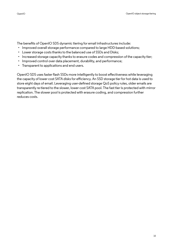The benefts of OpenIO SDS dynamic tiering for email infrastructures include:

- Improved overall storage performance compared to large HDD-based solutions;
- Lower storage costs thanks to the balanced use of SSDs and Disks;
- Increased storage capacity thanks to erasure codes and compression of the capacity tier;
- Improved control over data placement, durability, and performance;
- Transparent to applications and end users.

OpenIO SDS uses faster flash SSDs more intelligently to boost effectiveness while leveraging the capacity of lower cost SATA disks for efficiency. An SSD storage tier for hot data is used to store eight days of email. Leveraging user-defned storage QoS policy rules, older emails are transparently re-tiered to the slower, lower cost SATA pool. The fast tier is protected with mirror replication. The slower pool is protected with erasure coding, and compression further reduces costs.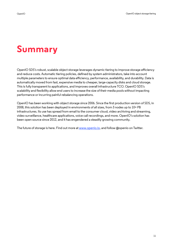# <span id="page-10-0"></span>**Summary**

OpenIO SDS's robust, scalable object storage leverages dynamic tiering to improve storage efficiency and reduce costs. Automatic tiering policies, defned by system administrators, take into account multiple parameters to ensure optimal data efficiency, performance, availability, and durability. Data is automatically moved from fast, expensive media to cheaper, large-capacity disks and cloud storage. This is fully transparent to applications, and improves overall infrastructure TCO. OpenIO SDS's scalability and flexibility allow end users to increase the size of their media pools without impacting performance or incurring painful rebalancing operations.

OpenIO has been working with object storage since 2006. Since the frst production version of SDS, in 2008, this solution has been deployed in environments of all sizes, from 3 nodes up to 10+ PB infrastructures. Its use has spread from email to the consumer cloud, video archiving and streaming, video surveillance, healthcare applications, voice call recordings, and more. OpenIO's solution has been open source since 2012, and it has engendered a steadily growing community.

The future of storage is here. Find out more at [www.openio.io](http://www.openio.io), and follow @openio on Twitter.